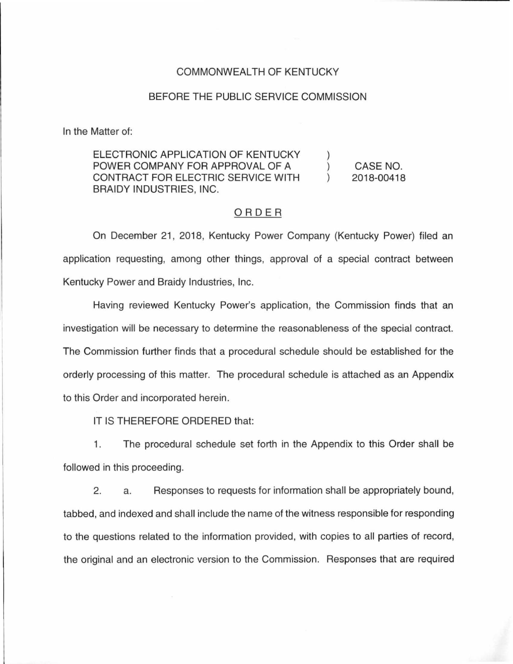#### COMMONWEALTH OF KENTUCKY

#### BEFORE THE PUBLIC SERVICE COMMISSION

In the Matter of:

ELECTRONIC APPLICATION OF KENTUCKY  $\mathcal{L}$ POWER COMPANY FOR APPROVAL OF A CASE NO.  $\mathcal{L}$ CONTRACT FOR ELECTRIC SERVICE WITH  $\lambda$ 2018-00418 BRAIDY INDUSTRIES, INC.

### ORDER

On December 21 , 2018, Kentucky Power Company (Kentucky Power) filed an application requesting, among other things, approval of a special contract between Kentucky Power and Braidy Industries, Inc.

Having reviewed Kentucky Power's application, the Commission finds that an investigation will be necessary to determine the reasonableness of the special contract. The Commission further finds that a procedural schedule should be established for the orderly processing of this matter. The procedural schedule is attached as an Appendix to this Order and incorporated herein.

IT IS THEREFORE ORDERED that:

1. The procedural schedule set forth in the Appendix to this Order shall be followed in this proceeding.

2. a. Responses to requests for information shall be appropriately bound, tabbed, and indexed and shall include the name of the witness responsible for responding to the questions related to the information provided, with copies to all parties of record, the original and an electronic version to the Commission. Responses that are required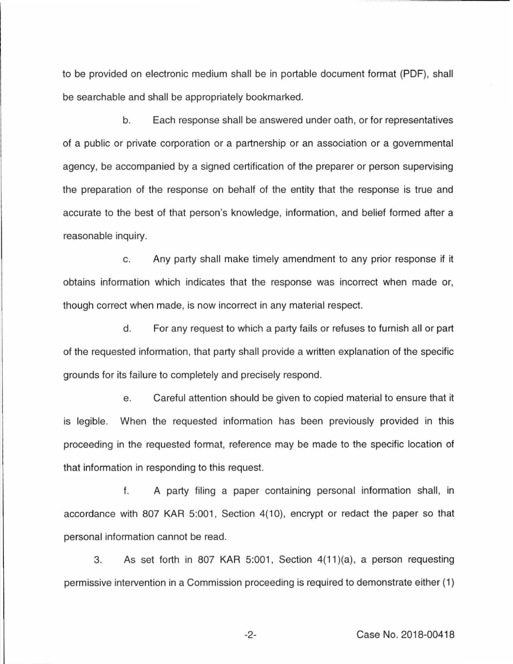to be provided on electronic medium shall be in portable document format (PDF), shall be searchable and shall be appropriately bookmarked.

b. Each response shall be answered under oath, or for representatives of a public or private corporation or a partnership or an association or a governmental agency, be accompanied by a signed certification of the preparer or person supervising the preparation of the response on behalf of the entity that the response is true and accurate to the best of that person's knowledge, information, and belief formed after a reasonable inquiry.

c. Any party shall make timely amendment to any prior response if it obtains information which indicates that the response was incorrect when made or, though correct when made, is now incorrect in any material respect.

d. For any request to which a party fails or refuses to furnish all or part of the requested information, that party shall provide a written explanation of the specific grounds for its failure to completely and precisely respond.

e. Careful attention should be given to copied material to ensure that it is legible. When the requested information has been previously provided in this proceeding in the requested format, reference may be made to the specific location of that information in responding to this request.

f. A party filing a paper containing personal information shall, in accordance with 807 KAR 5:001, Section 4(10), encrypt or redact the paper so that personal information cannot be read.

3. As set forth in 807 KAR 5:001, Section  $4(11)(a)$ , a person requesting permissive intervention in a Commission proceeding is required to demonstrate either (1)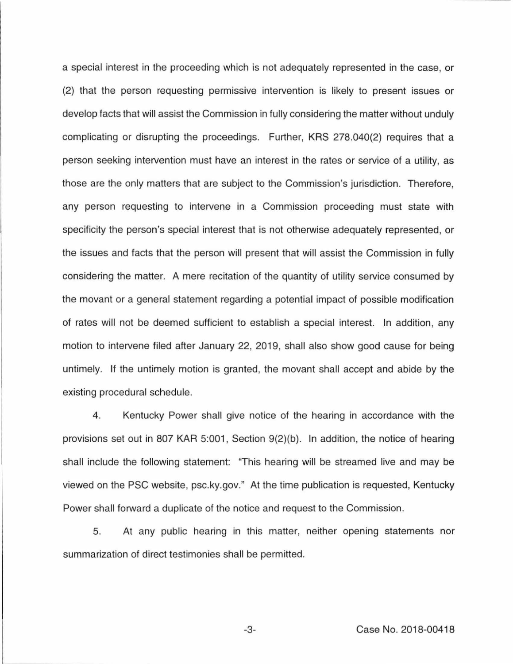a special interest in the proceeding which is not adequately represented in the case, or (2) that the person requesting permissive intervention is likely to present issues or develop facts that will assist the Commission in fully considering the matter without unduly complicating or disrupting the proceedings. Further, KRS 278.040(2) requires that a person seeking intervention must have an interest in the rates or service of a utility, as those are the only matters that are subject to the Commission's jurisdiction. Therefore, any person requesting to intervene in a Commission proceeding must state with specificity the person's special interest that is not otherwise adequately represented, or the issues and facts that the person will present that will assist the Commission in fully considering the matter. A mere recitation of the quantity of utility service consumed by the movant or a general statement regarding a potential impact of possible modification of rates will not be deemed sufficient to establish a special interest. In addition, any motion to intervene filed after January 22, 2019, shall also show good cause for being untimely. If the untimely motion is granted, the movant shall accept and abide by the existing procedural schedule.

4. Kentucky Power shall give notice of the hearing in accordance with the provisions set out in 807 KAR 5:001, Section  $9(2)(b)$ . In addition, the notice of hearing shall include the following statement: "This hearing will be streamed live and may be viewed on the PSC website, psc.ky.gov." At the time publication is requested, Kentucky Power shall forward a duplicate of the notice and request to the Commission.

5. At any public hearing in this matter, neither opening statements nor summarization of direct testimonies shall be permitted.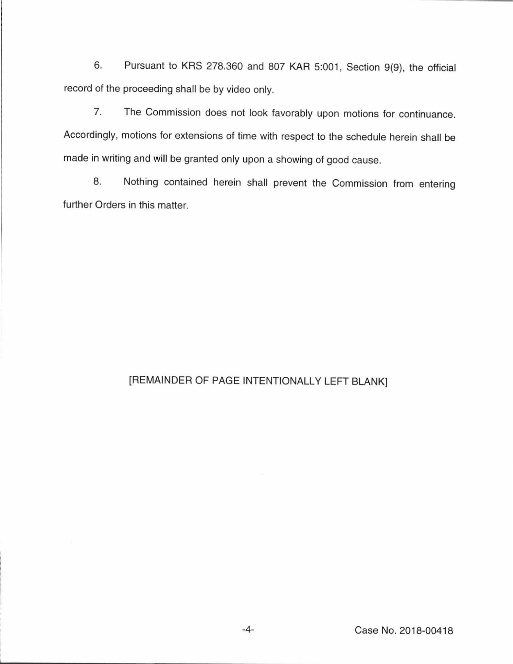6. Pursuant to KRS 278.360 and 807 KAR 5:001, Section 9(9), the official record of the proceeding shall be by video only.

7. The Commission does not look favorably upon motions for continuance. Accordingly, motions for extensions of time with respect to the schedule herein shall be made in writing and will be granted only upon a showing of good cause.

8. Nothing contained herein shall prevent the Commission from entering further Orders in this matter.

## [REMAINDER OF PAGE INTENTIONALLY LEFT BLANK]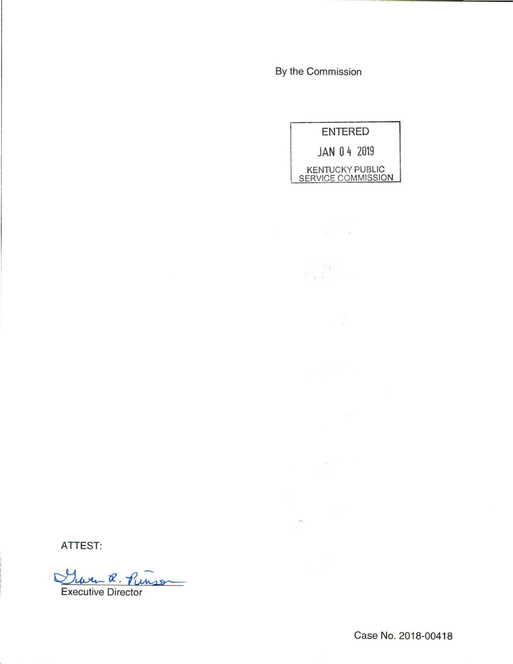By the Commission

 $\label{eq:2.1} \frac{1}{2\pi}\frac{1}{\sqrt{2}}\frac{d\theta}{\sqrt{2}}$   $\label{2.1} \frac{d\theta}{d\theta}=\frac{1}{2}\frac{d\theta}{d\theta}$ 

 $\label{eq:2.1} \begin{split} \frac{1}{2} \sum_{i=1}^{N} \frac{1}{2} \sum_{i=1}^{N} \frac{1}{2} \sum_{i=1}^{N} \frac{1}{2} \sum_{i=1}^{N} \frac{1}{2} \sum_{i=1}^{N} \frac{1}{2} \sum_{i=1}^{N} \frac{1}{2} \sum_{i=1}^{N} \frac{1}{2} \sum_{i=1}^{N} \frac{1}{2} \sum_{i=1}^{N} \frac{1}{2} \sum_{i=1}^{N} \frac{1}{2} \sum_{i=1}^{N} \frac{1}{2} \sum_{i=1}^{N} \frac$ 

 $\mathcal{L} = \mathcal{L} \left( \frac{\partial \mathcal{L}}{\partial \mathcal{L}} \right)$ 

 $\label{eq:2.1} \begin{split} \frac{d\mathcal{A}}{d\mathcal{A}}&=\frac{1}{2}\sum_{i=1}^{N-1}\frac{d\mathcal{A}}{d\mathcal{A}}\frac{d\mathcal{A}}{d\mathcal{A}}\frac{d\mathcal{A}}{d\mathcal{A}}\frac{d\mathcal{A}}{d\mathcal{A}}\frac{d\mathcal{A}}{d\mathcal{A}}\frac{d\mathcal{A}}{d\mathcal{A}}\frac{d\mathcal{A}}{d\mathcal{A}}&=\frac{1}{2}\sum_{i=1}^{N-1}\frac{d\mathcal{A}}{d\mathcal{A}}\frac{d\mathcal{$ 

 $\label{eq:2.1} \mathcal{E}^{(1)}$  and  $\mathcal{E}^{(2)}$ 

ENTERED JAN 0 4 2019 KENTUCKY PUBLIC SERVICE COMMISSION

ATTEST:

There R. Punson

Executive Director

Case No. 2018-00418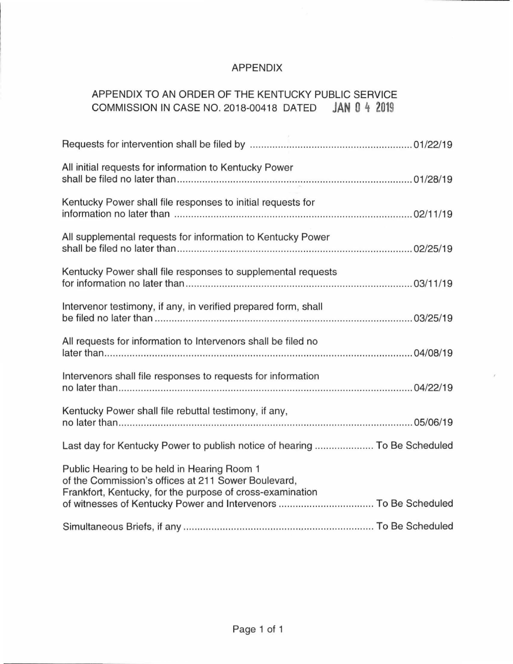## APPENDIX

# APPENDIX TO AN ORDER OF THE KENTUCKY PUBLIC SERVICE COMMISSION IN CASE NO. 2018-00418 DATED **JAN 0 4 2019**

| All initial requests for information to Kentucky Power                                                                                                                                                                             |
|------------------------------------------------------------------------------------------------------------------------------------------------------------------------------------------------------------------------------------|
| Kentucky Power shall file responses to initial requests for                                                                                                                                                                        |
| All supplemental requests for information to Kentucky Power                                                                                                                                                                        |
| Kentucky Power shall file responses to supplemental requests                                                                                                                                                                       |
| Intervenor testimony, if any, in verified prepared form, shall                                                                                                                                                                     |
| All requests for information to Intervenors shall be filed no                                                                                                                                                                      |
| Intervenors shall file responses to requests for information                                                                                                                                                                       |
| Kentucky Power shall file rebuttal testimony, if any,                                                                                                                                                                              |
| Last day for Kentucky Power to publish notice of hearing  To Be Scheduled                                                                                                                                                          |
| Public Hearing to be held in Hearing Room 1<br>of the Commission's offices at 211 Sower Boulevard,<br>Frankfort, Kentucky, for the purpose of cross-examination<br>of witnesses of Kentucky Power and Intervenors  To Be Scheduled |
|                                                                                                                                                                                                                                    |